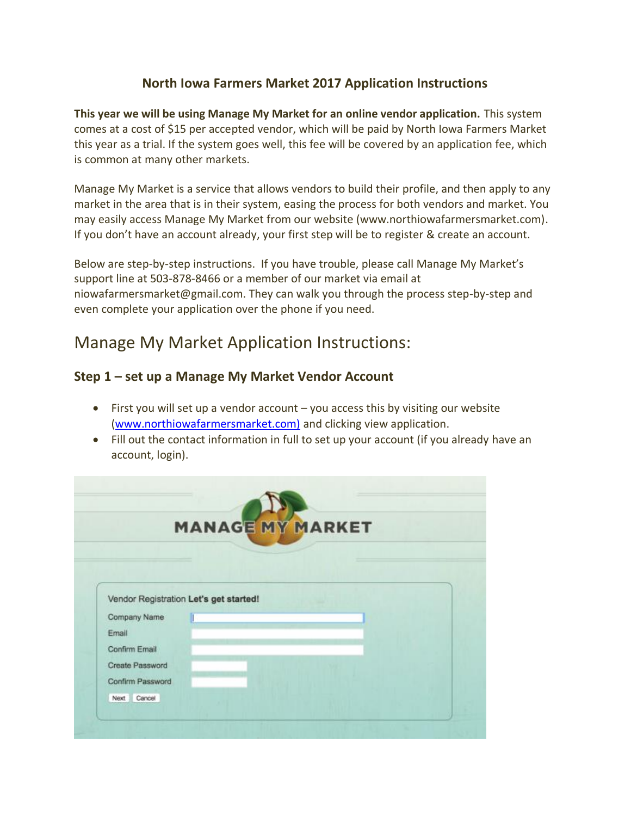### **North Iowa Farmers Market 2017 Application Instructions**

**This year we will be using Manage My Market for an online vendor application.** This system comes at a cost of \$15 per accepted vendor, which will be paid by North Iowa Farmers Market this year as a trial. If the system goes well, this fee will be covered by an application fee, which is common at many other markets.

Manage My Market is a service that allows vendors to build their profile, and then apply to any market in the area that is in their system, easing the process for both vendors and market. You may easily access Manage My Market from our website (www.northiowafarmersmarket.com). If you don't have an account already, your first step will be to register & create an account.

Below are step-by-step instructions. If you have trouble, please call Manage My Market's support line at 503-878-8466 or a member of our market via email at niowafarmersmarket@gmail.com. They can walk you through the process step-by-step and even complete your application over the phone if you need.

# Manage My Market Application Instructions:

### **Step 1 – set up a Manage My Market Vendor Account**

- First you will set up a vendor account you access this by visiting our website [\(www.northiowafarmersmarket.com\)](http://www.northiowafarmersmarket.com)/) and clicking view application.
- Fill out the contact information in full to set up your account (if you already have an account, login).

|                                                        |  | <b>MANAGE MY MARKET</b> |  |
|--------------------------------------------------------|--|-------------------------|--|
|                                                        |  |                         |  |
|                                                        |  |                         |  |
| Vendor Registration Let's get started!<br>Company Name |  |                         |  |
| Email                                                  |  |                         |  |
| Confirm Email                                          |  |                         |  |
| Create Password                                        |  |                         |  |
| Confirm Password                                       |  |                         |  |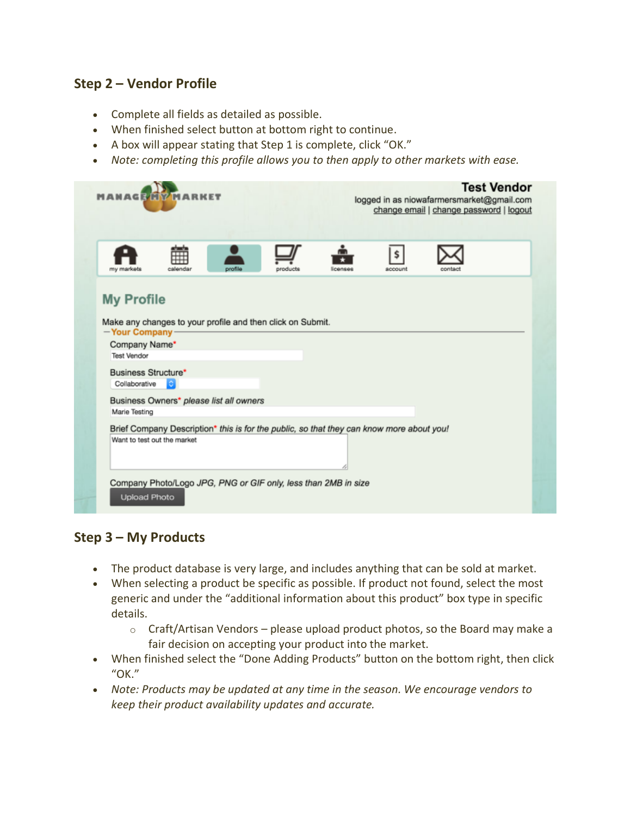### **Step 2 – Vendor Profile**

- Complete all fields as detailed as possible.
- When finished select button at bottom right to continue.
- A box will appear stating that Step 1 is complete, click "OK."
- *Note: completing this profile allows you to then apply to other markets with ease.*

| <b>MARKET</b><br>MANAGEM                                                   |                                                                                                                         |         |          | <b>Test Vendor</b><br>logged in as niowafarmersmarket@gmail.com<br>change email   change password   logout |               |         |  |  |
|----------------------------------------------------------------------------|-------------------------------------------------------------------------------------------------------------------------|---------|----------|------------------------------------------------------------------------------------------------------------|---------------|---------|--|--|
| my markets                                                                 | atanta<br>calendar                                                                                                      | profile | products | licenses                                                                                                   | \$<br>account | contact |  |  |
| <b>My Profile</b><br>-Your Company-<br>Company Name*<br><b>Test Vendor</b> | Make any changes to your profile and then click on Submit.                                                              |         |          |                                                                                                            |               |         |  |  |
| Business Structure*<br>Collaborative                                       |                                                                                                                         |         |          |                                                                                                            |               |         |  |  |
| Marie Testing                                                              | Business Owners* please list all owners                                                                                 |         |          |                                                                                                            |               |         |  |  |
|                                                                            | Brief Company Description* this is for the public, so that they can know more about you!<br>Want to test out the market |         |          |                                                                                                            |               |         |  |  |
| <b>Upload Photo</b>                                                        | Company Photo/Logo JPG, PNG or GIF only, less than 2MB in size                                                          |         |          |                                                                                                            |               |         |  |  |

### **Step 3 – My Products**

- The product database is very large, and includes anything that can be sold at market.
- When selecting a product be specific as possible. If product not found, select the most generic and under the "additional information about this product" box type in specific details.
	- $\circ$  Craft/Artisan Vendors please upload product photos, so the Board may make a fair decision on accepting your product into the market.
- When finished select the "Done Adding Products" button on the bottom right, then click "OK."
- *Note: Products may be updated at any time in the season. We encourage vendors to keep their product availability updates and accurate.*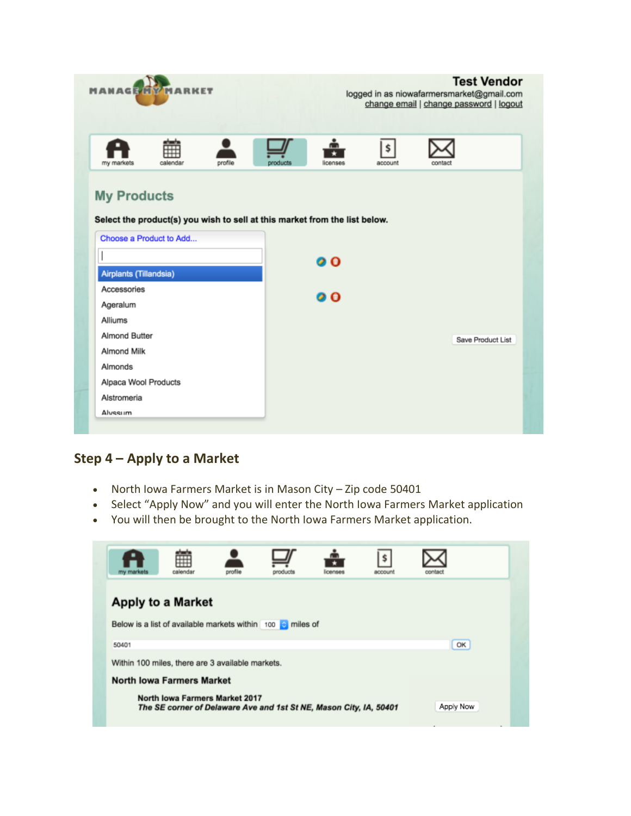| <b>MANAGE</b>          | MARKET                  |         |                                                                            | <b>Test Vendor</b><br>logged in as niowafarmersmarket@gmail.com<br>change email   change password   logout |               |                   |  |
|------------------------|-------------------------|---------|----------------------------------------------------------------------------|------------------------------------------------------------------------------------------------------------|---------------|-------------------|--|
| my markets             | calendar                | profile | products                                                                   | licenses                                                                                                   | \$<br>account | contact           |  |
| <b>My Products</b>     |                         |         |                                                                            |                                                                                                            |               |                   |  |
|                        |                         |         | Select the product(s) you wish to sell at this market from the list below. |                                                                                                            |               |                   |  |
|                        | Choose a Product to Add |         |                                                                            |                                                                                                            |               |                   |  |
|                        |                         |         |                                                                            | ØΘ.                                                                                                        |               |                   |  |
| Airplants (Tillandsia) |                         |         |                                                                            |                                                                                                            |               |                   |  |
| Accessories            |                         |         |                                                                            | 00                                                                                                         |               |                   |  |
|                        |                         |         |                                                                            |                                                                                                            |               |                   |  |
| Ageralum               |                         |         |                                                                            |                                                                                                            |               |                   |  |
| Alliums                |                         |         |                                                                            |                                                                                                            |               |                   |  |
| Almond Butter          |                         |         |                                                                            |                                                                                                            |               | Save Product List |  |
| Almond Milk            |                         |         |                                                                            |                                                                                                            |               |                   |  |
| Almonds                |                         |         |                                                                            |                                                                                                            |               |                   |  |
| Alpaca Wool Products   |                         |         |                                                                            |                                                                                                            |               |                   |  |
| Alstromeria            |                         |         |                                                                            |                                                                                                            |               |                   |  |

## **Step 4 – Apply to a Market**

- North Iowa Farmers Market is in Mason City Zip code 50401
- Select "Apply Now" and you will enter the North Iowa Farmers Market application
- You will then be brought to the North Iowa Farmers Market application.

| my markets                                                                                                        | calendar                                                   | profile | products | <b>ICACRAS</b> | <b><i>BOODUM</i></b> | contact |  |  |  |
|-------------------------------------------------------------------------------------------------------------------|------------------------------------------------------------|---------|----------|----------------|----------------------|---------|--|--|--|
|                                                                                                                   | <b>Apply to a Market</b>                                   |         |          |                |                      |         |  |  |  |
|                                                                                                                   | Below is a list of available markets within 100 c miles of |         |          |                |                      |         |  |  |  |
| 50401                                                                                                             |                                                            |         |          |                |                      | OK      |  |  |  |
| Within 100 miles, there are 3 available markets.                                                                  |                                                            |         |          |                |                      |         |  |  |  |
|                                                                                                                   | <b>North Iowa Farmers Market</b>                           |         |          |                |                      |         |  |  |  |
| North Iowa Farmers Market 2017<br>Apply Now<br>The SE corner of Delaware Ave and 1st St NE, Mason City, IA, 50401 |                                                            |         |          |                |                      |         |  |  |  |